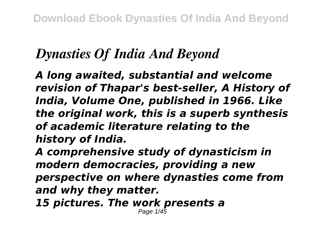## *Dynasties Of India And Beyond*

*A long awaited, substantial and welcome revision of Thapar's best-seller, A History of India, Volume One, published in 1966. Like the original work, this is a superb synthesis of academic literature relating to the history of India.*

*A comprehensive study of dynasticism in modern democracies, providing a new perspective on where dynasties come from and why they matter.*

*15 pictures. The work presents a* Page 1/45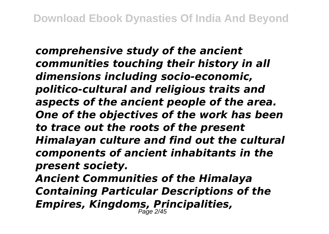*comprehensive study of the ancient communities touching their history in all dimensions including socio-economic, politico-cultural and religious traits and aspects of the ancient people of the area. One of the objectives of the work has been to trace out the roots of the present Himalayan culture and find out the cultural components of ancient inhabitants in the present society.*

*Ancient Communities of the Himalaya Containing Particular Descriptions of the Empires, Kingdoms, Principalities,* Page 2/45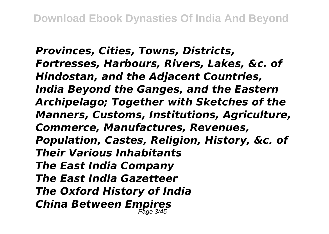*Provinces, Cities, Towns, Districts, Fortresses, Harbours, Rivers, Lakes, &c. of Hindostan, and the Adjacent Countries, India Beyond the Ganges, and the Eastern Archipelago; Together with Sketches of the Manners, Customs, Institutions, Agriculture, Commerce, Manufactures, Revenues, Population, Castes, Religion, History, &c. of Their Various Inhabitants The East India Company The East India Gazetteer The Oxford History of India China Between Empires* Page 3/45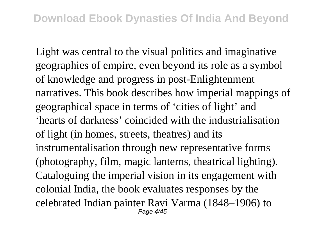Light was central to the visual politics and imaginative geographies of empire, even beyond its role as a symbol of knowledge and progress in post-Enlightenment narratives. This book describes how imperial mappings of geographical space in terms of 'cities of light' and 'hearts of darkness' coincided with the industrialisation of light (in homes, streets, theatres) and its instrumentalisation through new representative forms (photography, film, magic lanterns, theatrical lighting). Cataloguing the imperial vision in its engagement with colonial India, the book evaluates responses by the celebrated Indian painter Ravi Varma (1848–1906) to  $P$ age  $\Delta$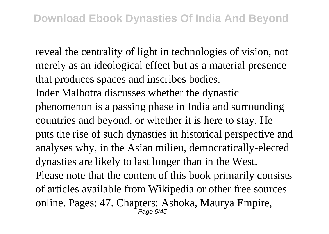reveal the centrality of light in technologies of vision, not merely as an ideological effect but as a material presence that produces spaces and inscribes bodies.

Inder Malhotra discusses whether the dynastic phenomenon is a passing phase in India and surrounding countries and beyond, or whether it is here to stay. He puts the rise of such dynasties in historical perspective and analyses why, in the Asian milieu, democratically-elected dynasties are likely to last longer than in the West. Please note that the content of this book primarily consists of articles available from Wikipedia or other free sources online. Pages: 47. Chapters: Ashoka, Maurya Empire, Page 5/45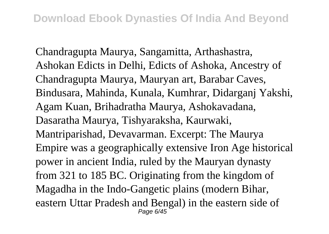Chandragupta Maurya, Sangamitta, Arthashastra, Ashokan Edicts in Delhi, Edicts of Ashoka, Ancestry of Chandragupta Maurya, Mauryan art, Barabar Caves, Bindusara, Mahinda, Kunala, Kumhrar, Didarganj Yakshi, Agam Kuan, Brihadratha Maurya, Ashokavadana, Dasaratha Maurya, Tishyaraksha, Kaurwaki, Mantriparishad, Devavarman. Excerpt: The Maurya Empire was a geographically extensive Iron Age historical power in ancient India, ruled by the Mauryan dynasty from 321 to 185 BC. Originating from the kingdom of Magadha in the Indo-Gangetic plains (modern Bihar, eastern Uttar Pradesh and Bengal) in the eastern side of Page  $6/45$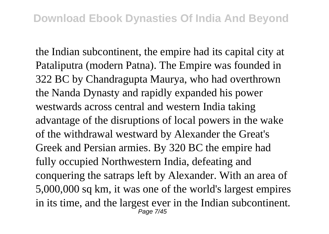the Indian subcontinent, the empire had its capital city at Pataliputra (modern Patna). The Empire was founded in 322 BC by Chandragupta Maurya, who had overthrown the Nanda Dynasty and rapidly expanded his power westwards across central and western India taking advantage of the disruptions of local powers in the wake of the withdrawal westward by Alexander the Great's Greek and Persian armies. By 320 BC the empire had fully occupied Northwestern India, defeating and conquering the satraps left by Alexander. With an area of 5,000,000 sq km, it was one of the world's largest empires in its time, and the largest ever in the Indian subcontinent. Page 7/45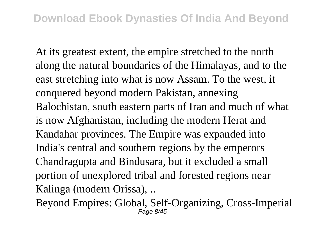At its greatest extent, the empire stretched to the north along the natural boundaries of the Himalayas, and to the east stretching into what is now Assam. To the west, it conquered beyond modern Pakistan, annexing Balochistan, south eastern parts of Iran and much of what is now Afghanistan, including the modern Herat and Kandahar provinces. The Empire was expanded into India's central and southern regions by the emperors Chandragupta and Bindusara, but it excluded a small portion of unexplored tribal and forested regions near Kalinga (modern Orissa), ..

Beyond Empires: Global, Self-Organizing, Cross-Imperial Page 8/45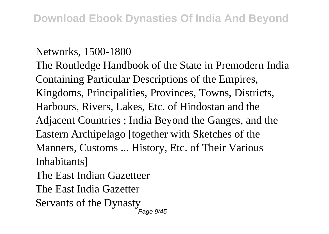## Networks, 1500-1800

The Routledge Handbook of the State in Premodern India Containing Particular Descriptions of the Empires, Kingdoms, Principalities, Provinces, Towns, Districts, Harbours, Rivers, Lakes, Etc. of Hindostan and the Adjacent Countries ; India Beyond the Ganges, and the Eastern Archipelago [together with Sketches of the Manners, Customs ... History, Etc. of Their Various **Inhabitants** 

The East Indian Gazetteer

The East India Gazetter

Servants of the Dynasty

Page  $9/45$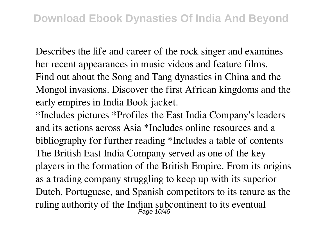Describes the life and career of the rock singer and examines her recent appearances in music videos and feature films. Find out about the Song and Tang dynasties in China and the Mongol invasions. Discover the first African kingdoms and the early empires in India Book jacket.

\*Includes pictures \*Profiles the East India Company's leaders and its actions across Asia \*Includes online resources and a bibliography for further reading \*Includes a table of contents The British East India Company served as one of the key players in the formation of the British Empire. From its origins as a trading company struggling to keep up with its superior Dutch, Portuguese, and Spanish competitors to its tenure as the ruling authority of the Indian subcontinent to its eventual<br> $\frac{Page 10/45}$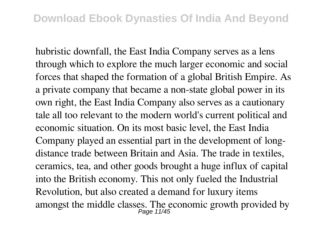hubristic downfall, the East India Company serves as a lens through which to explore the much larger economic and social forces that shaped the formation of a global British Empire. As a private company that became a non-state global power in its own right, the East India Company also serves as a cautionary tale all too relevant to the modern world's current political and economic situation. On its most basic level, the East India Company played an essential part in the development of longdistance trade between Britain and Asia. The trade in textiles, ceramics, tea, and other goods brought a huge influx of capital into the British economy. This not only fueled the Industrial Revolution, but also created a demand for luxury items amongst the middle classes. The economic growth provided by  $_{Page 11/45}^{Page 11/45}$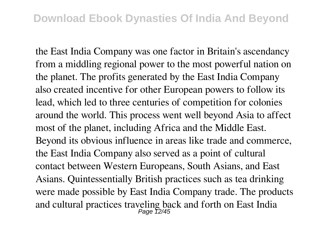the East India Company was one factor in Britain's ascendancy from a middling regional power to the most powerful nation on the planet. The profits generated by the East India Company also created incentive for other European powers to follow its lead, which led to three centuries of competition for colonies around the world. This process went well beyond Asia to affect most of the planet, including Africa and the Middle East. Beyond its obvious influence in areas like trade and commerce, the East India Company also served as a point of cultural contact between Western Europeans, South Asians, and East Asians. Quintessentially British practices such as tea drinking were made possible by East India Company trade. The products and cultural practices traveling back and forth on East India<br> $P_{\text{age}}$  12/45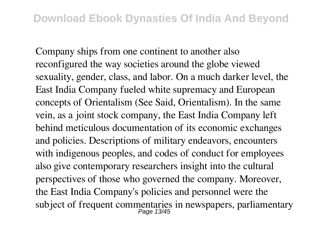Company ships from one continent to another also reconfigured the way societies around the globe viewed sexuality, gender, class, and labor. On a much darker level, the East India Company fueled white supremacy and European concepts of Orientalism (See Said, Orientalism). In the same vein, as a joint stock company, the East India Company left behind meticulous documentation of its economic exchanges and policies. Descriptions of military endeavors, encounters with indigenous peoples, and codes of conduct for employees also give contemporary researchers insight into the cultural perspectives of those who governed the company. Moreover, the East India Company's policies and personnel were the subject of frequent commentaries in newspapers, parliamentary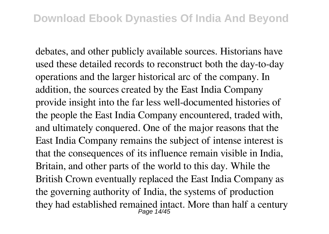debates, and other publicly available sources. Historians have used these detailed records to reconstruct both the day-to-day operations and the larger historical arc of the company. In addition, the sources created by the East India Company provide insight into the far less well-documented histories of the people the East India Company encountered, traded with, and ultimately conquered. One of the major reasons that the East India Company remains the subject of intense interest is that the consequences of its influence remain visible in India, Britain, and other parts of the world to this day. While the British Crown eventually replaced the East India Company as the governing authority of India, the systems of production they had established remained intact. More than half a century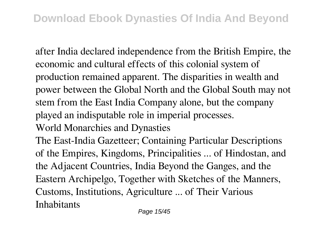after India declared independence from the British Empire, the economic and cultural effects of this colonial system of production remained apparent. The disparities in wealth and power between the Global North and the Global South may not stem from the East India Company alone, but the company played an indisputable role in imperial processes. World Monarchies and Dynasties

The East-India Gazetteer; Containing Particular Descriptions of the Empires, Kingdoms, Principalities ... of Hindostan, and the Adjacent Countries, India Beyond the Ganges, and the Eastern Archipelgo, Together with Sketches of the Manners, Customs, Institutions, Agriculture ... of Their Various Inhabitants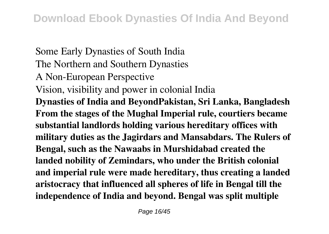Some Early Dynasties of South India The Northern and Southern Dynasties A Non-European Perspective Vision, visibility and power in colonial India **Dynasties of India and BeyondPakistan, Sri Lanka, Bangladesh From the stages of the Mughal Imperial rule, courtiers became substantial landlords holding various hereditary offices with military duties as the Jagirdars and Mansabdars. The Rulers of Bengal, such as the Nawaabs in Murshidabad created the landed nobility of Zemindars, who under the British colonial and imperial rule were made hereditary, thus creating a landed aristocracy that influenced all spheres of life in Bengal till the independence of India and beyond. Bengal was split multiple**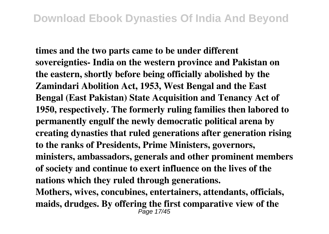**times and the two parts came to be under different sovereignties- India on the western province and Pakistan on the eastern, shortly before being officially abolished by the Zamindari Abolition Act, 1953, West Bengal and the East Bengal (East Pakistan) State Acquisition and Tenancy Act of 1950, respectively. The formerly ruling families then labored to permanently engulf the newly democratic political arena by creating dynasties that ruled generations after generation rising to the ranks of Presidents, Prime Ministers, governors, ministers, ambassadors, generals and other prominent members of society and continue to exert influence on the lives of the nations which they ruled through generations. Mothers, wives, concubines, entertainers, attendants, officials, maids, drudges. By offering the first comparative view of the** Page 17/45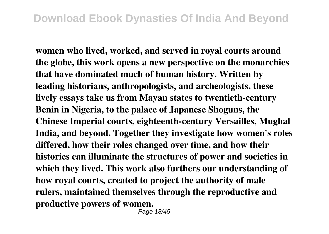**women who lived, worked, and served in royal courts around the globe, this work opens a new perspective on the monarchies that have dominated much of human history. Written by leading historians, anthropologists, and archeologists, these lively essays take us from Mayan states to twentieth-century Benin in Nigeria, to the palace of Japanese Shoguns, the Chinese Imperial courts, eighteenth-century Versailles, Mughal India, and beyond. Together they investigate how women's roles differed, how their roles changed over time, and how their histories can illuminate the structures of power and societies in which they lived. This work also furthers our understanding of how royal courts, created to project the authority of male rulers, maintained themselves through the reproductive and productive powers of women.**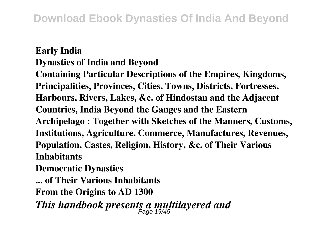## **Early India Dynasties of India and Beyond**

**Containing Particular Descriptions of the Empires, Kingdoms, Principalities, Provinces, Cities, Towns, Districts, Fortresses, Harbours, Rivers, Lakes, &c. of Hindostan and the Adjacent Countries, India Beyond the Ganges and the Eastern Archipelago : Together with Sketches of the Manners, Customs, Institutions, Agriculture, Commerce, Manufactures, Revenues, Population, Castes, Religion, History, &c. of Their Various Inhabitants**

**Democratic Dynasties**

**... of Their Various Inhabitants**

**From the Origins to AD 1300**

*This handbook presents a multilayered and* Page 19/45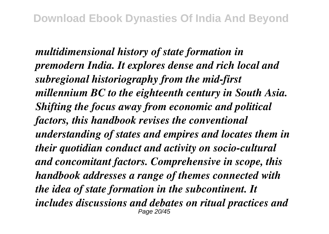*multidimensional history of state formation in premodern India. It explores dense and rich local and subregional historiography from the mid-first millennium BC to the eighteenth century in South Asia. Shifting the focus away from economic and political factors, this handbook revises the conventional understanding of states and empires and locates them in their quotidian conduct and activity on socio-cultural and concomitant factors. Comprehensive in scope, this handbook addresses a range of themes connected with the idea of state formation in the subcontinent. It includes discussions and debates on ritual practices and* Page 20/45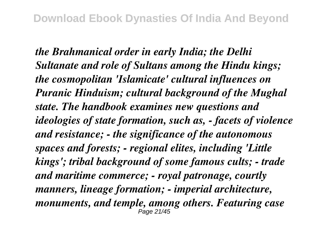*the Brahmanical order in early India; the Delhi Sultanate and role of Sultans among the Hindu kings; the cosmopolitan 'Islamicate' cultural influences on Puranic Hinduism; cultural background of the Mughal state. The handbook examines new questions and ideologies of state formation, such as, - facets of violence and resistance; - the significance of the autonomous spaces and forests; - regional elites, including 'Little kings'; tribal background of some famous cults; - trade and maritime commerce; - royal patronage, courtly manners, lineage formation; - imperial architecture, monuments, and temple, among others. Featuring case* Page 21/45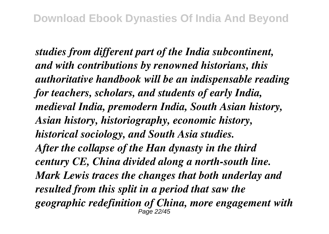*studies from different part of the India subcontinent, and with contributions by renowned historians, this authoritative handbook will be an indispensable reading for teachers, scholars, and students of early India, medieval India, premodern India, South Asian history, Asian history, historiography, economic history, historical sociology, and South Asia studies. After the collapse of the Han dynasty in the third century CE, China divided along a north-south line. Mark Lewis traces the changes that both underlay and resulted from this split in a period that saw the geographic redefinition of China, more engagement with* Page 22/45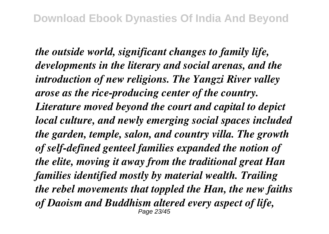*the outside world, significant changes to family life, developments in the literary and social arenas, and the introduction of new religions. The Yangzi River valley arose as the rice-producing center of the country. Literature moved beyond the court and capital to depict local culture, and newly emerging social spaces included the garden, temple, salon, and country villa. The growth of self-defined genteel families expanded the notion of the elite, moving it away from the traditional great Han families identified mostly by material wealth. Trailing the rebel movements that toppled the Han, the new faiths of Daoism and Buddhism altered every aspect of life,* Page 23/45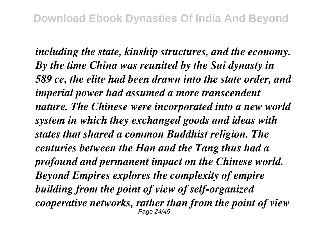*including the state, kinship structures, and the economy. By the time China was reunited by the Sui dynasty in 589 ce, the elite had been drawn into the state order, and imperial power had assumed a more transcendent nature. The Chinese were incorporated into a new world system in which they exchanged goods and ideas with states that shared a common Buddhist religion. The centuries between the Han and the Tang thus had a profound and permanent impact on the Chinese world. Beyond Empires explores the complexity of empire building from the point of view of self-organized cooperative networks, rather than from the point of view* Page 24/45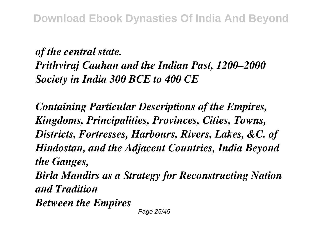*of the central state. Prithviraj Cauhan and the Indian Past, 1200–2000 Society in India 300 BCE to 400 CE*

*Containing Particular Descriptions of the Empires, Kingdoms, Principalities, Provinces, Cities, Towns, Districts, Fortresses, Harbours, Rivers, Lakes, &C. of Hindostan, and the Adjacent Countries, India Beyond the Ganges, Birla Mandirs as a Strategy for Reconstructing Nation*

*and Tradition*

*Between the Empires*

Page 25/45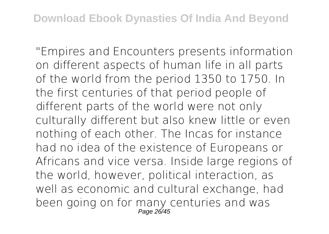"Empires and Encounters presents information on different aspects of human life in all parts of the world from the period 1350 to 1750. In the first centuries of that period people of different parts of the world were not only culturally different but also knew little or even nothing of each other. The Incas for instance had no idea of the existence of Europeans or Africans and vice versa. Inside large regions of the world, however, political interaction, as well as economic and cultural exchange, had been going on for many centuries and was Page 26/45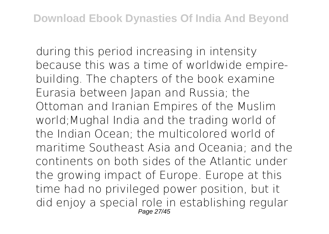during this period increasing in intensity because this was a time of worldwide empirebuilding. The chapters of the book examine Eurasia between Japan and Russia; the Ottoman and Iranian Empires of the Muslim world;Mughal India and the trading world of the Indian Ocean; the multicolored world of maritime Southeast Asia and Oceania; and the continents on both sides of the Atlantic under the growing impact of Europe. Europe at this time had no privileged power position, but it did enjoy a special role in establishing regular Page 27/45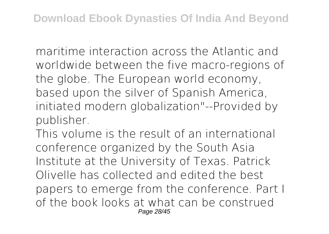maritime interaction across the Atlantic and worldwide between the five macro-regions of the globe. The European world economy, based upon the silver of Spanish America, initiated modern globalization"--Provided by publisher.

This volume is the result of an international conference organized by the South Asia Institute at the University of Texas. Patrick Olivelle has collected and edited the best papers to emerge from the conference. Part I of the book looks at what can be construed Page 28/45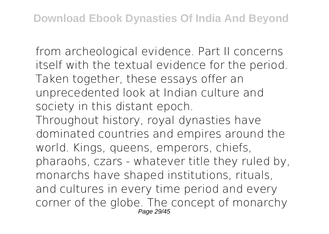from archeological evidence. Part II concerns itself with the textual evidence for the period. Taken together, these essays offer an unprecedented look at Indian culture and society in this distant epoch.

Throughout history, royal dynasties have dominated countries and empires around the world. Kings, queens, emperors, chiefs, pharaohs, czars - whatever title they ruled by, monarchs have shaped institutions, rituals, and cultures in every time period and every corner of the globe. The concept of monarchy Page 29/45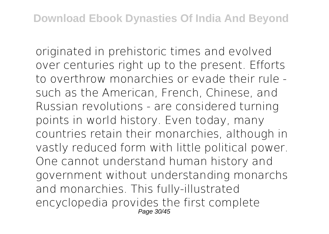originated in prehistoric times and evolved over centuries right up to the present. Efforts to overthrow monarchies or evade their rule such as the American, French, Chinese, and Russian revolutions - are considered turning points in world history. Even today, many countries retain their monarchies, although in vastly reduced form with little political power. One cannot understand human history and government without understanding monarchs and monarchies. This fully-illustrated encyclopedia provides the first complete Page 30/45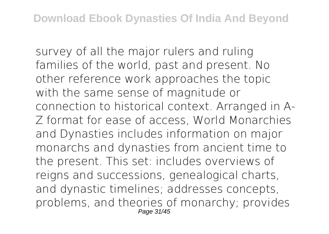survey of all the major rulers and ruling families of the world, past and present. No other reference work approaches the topic with the same sense of magnitude or connection to historical context. Arranged in A-Z format for ease of access, World Monarchies and Dynasties includes information on major monarchs and dynasties from ancient time to the present. This set: includes overviews of reigns and successions, genealogical charts, and dynastic timelines; addresses concepts, problems, and theories of monarchy; provides Page 31/45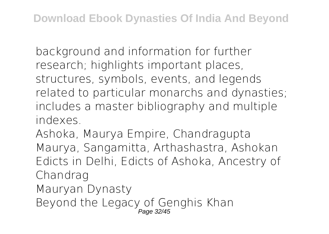background and information for further research; highlights important places, structures, symbols, events, and legends related to particular monarchs and dynasties; includes a master bibliography and multiple indexes.

Ashoka, Maurya Empire, Chandragupta Maurya, Sangamitta, Arthashastra, Ashokan Edicts in Delhi, Edicts of Ashoka, Ancestry of Chandrag Mauryan Dynasty Beyond the Legacy of Genghis Khan Page 32/45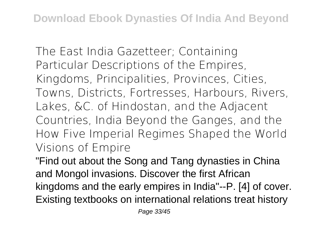The East India Gazetteer; Containing Particular Descriptions of the Empires, Kingdoms, Principalities, Provinces, Cities, Towns, Districts, Fortresses, Harbours, Rivers, Lakes, &C. of Hindostan, and the Adjacent Countries, India Beyond the Ganges, and the How Five Imperial Regimes Shaped the World Visions of Empire

"Find out about the Song and Tang dynasties in China and Mongol invasions. Discover the first African kingdoms and the early empires in India"--P. [4] of cover. Existing textbooks on international relations treat history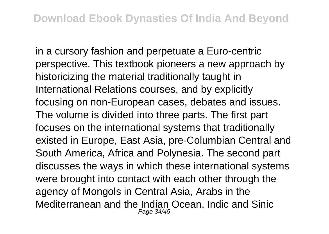in a cursory fashion and perpetuate a Euro-centric perspective. This textbook pioneers a new approach by historicizing the material traditionally taught in International Relations courses, and by explicitly focusing on non-European cases, debates and issues. The volume is divided into three parts. The first part focuses on the international systems that traditionally existed in Europe, East Asia, pre-Columbian Central and South America, Africa and Polynesia. The second part discusses the ways in which these international systems were brought into contact with each other through the agency of Mongols in Central Asia, Arabs in the Mediterranean and the Indian Ocean, Indic and Sinic<br>Page 34/45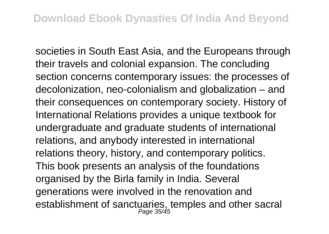societies in South East Asia, and the Europeans through their travels and colonial expansion. The concluding section concerns contemporary issues: the processes of decolonization, neo-colonialism and globalization – and their consequences on contemporary society. History of International Relations provides a unique textbook for undergraduate and graduate students of international relations, and anybody interested in international relations theory, history, and contemporary politics. This book presents an analysis of the foundations organised by the Birla family in India. Several generations were involved in the renovation and establishment of sanctuaries, temples and other sacral<br>Page 35/45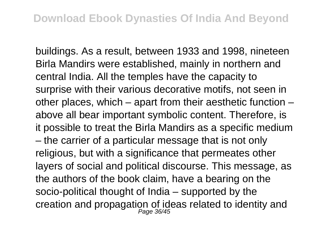buildings. As a result, between 1933 and 1998, nineteen Birla Mandirs were established, mainly in northern and central India. All the temples have the capacity to surprise with their various decorative motifs, not seen in other places, which – apart from their aesthetic function – above all bear important symbolic content. Therefore, is it possible to treat the Birla Mandirs as a specific medium – the carrier of a particular message that is not only religious, but with a significance that permeates other layers of social and political discourse. This message, as the authors of the book claim, have a bearing on the socio-political thought of India – supported by the creation and propagation of ideas related to identity and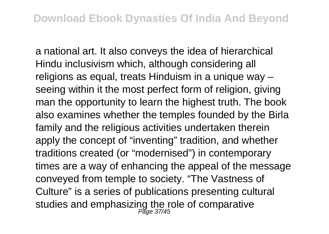a national art. It also conveys the idea of hierarchical Hindu inclusivism which, although considering all religions as equal, treats Hinduism in a unique way – seeing within it the most perfect form of religion, giving man the opportunity to learn the highest truth. The book also examines whether the temples founded by the Birla family and the religious activities undertaken therein apply the concept of "inventing" tradition, and whether traditions created (or "modernised") in contemporary times are a way of enhancing the appeal of the message conveyed from temple to society. "The Vastness of Culture" is a series of publications presenting cultural studies and emphasizing the role of comparative<br>Page 37/45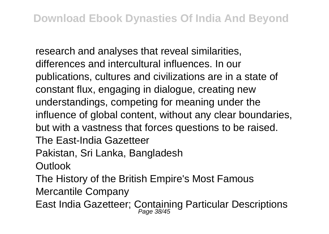research and analyses that reveal similarities, differences and intercultural influences. In our publications, cultures and civilizations are in a state of constant flux, engaging in dialogue, creating new understandings, competing for meaning under the influence of global content, without any clear boundaries, but with a vastness that forces questions to be raised. The East-India Gazetteer Pakistan, Sri Lanka, Bangladesh **Outlook** The History of the British Empire's Most Famous Mercantile Company

East India Gazetteer; Containing Particular Descriptions Page 38/45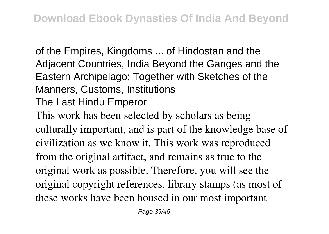of the Empires, Kingdoms ... of Hindostan and the Adjacent Countries, India Beyond the Ganges and the Eastern Archipelago; Together with Sketches of the Manners, Customs, Institutions The Last Hindu Emperor

This work has been selected by scholars as being culturally important, and is part of the knowledge base of civilization as we know it. This work was reproduced from the original artifact, and remains as true to the original work as possible. Therefore, you will see the original copyright references, library stamps (as most of these works have been housed in our most important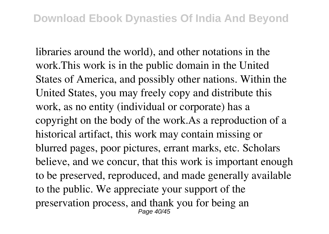libraries around the world), and other notations in the work.This work is in the public domain in the United States of America, and possibly other nations. Within the United States, you may freely copy and distribute this work, as no entity (individual or corporate) has a copyright on the body of the work.As a reproduction of a historical artifact, this work may contain missing or blurred pages, poor pictures, errant marks, etc. Scholars believe, and we concur, that this work is important enough to be preserved, reproduced, and made generally available to the public. We appreciate your support of the preservation process, and thank you for being an Page 40/45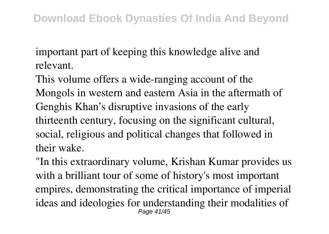important part of keeping this knowledge alive and relevant.

This volume offers a wide-ranging account of the Mongols in western and eastern Asia in the aftermath of Genghis Khan's disruptive invasions of the early thirteenth century, focusing on the significant cultural, social, religious and political changes that followed in their wake.

"In this extraordinary volume, Krishan Kumar provides us with a brilliant tour of some of history's most important empires, demonstrating the critical importance of imperial ideas and ideologies for understanding their modalities of Page 41/45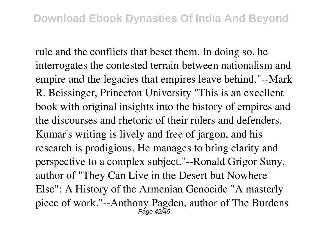rule and the conflicts that beset them. In doing so, he interrogates the contested terrain between nationalism and empire and the legacies that empires leave behind."--Mark R. Beissinger, Princeton University "This is an excellent book with original insights into the history of empires and the discourses and rhetoric of their rulers and defenders. Kumar's writing is lively and free of jargon, and his research is prodigious. He manages to bring clarity and perspective to a complex subject."--Ronald Grigor Suny, author of "They Can Live in the Desert but Nowhere Else": A History of the Armenian Genocide "A masterly piece of work."--Anthony Pagden, author of The Burdens Page 42/45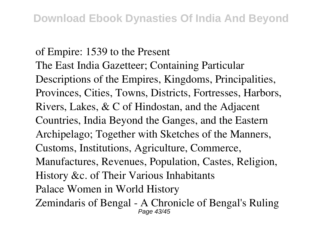of Empire: 1539 to the Present The East India Gazetteer; Containing Particular Descriptions of the Empires, Kingdoms, Principalities, Provinces, Cities, Towns, Districts, Fortresses, Harbors, Rivers, Lakes, & C of Hindostan, and the Adjacent Countries, India Beyond the Ganges, and the Eastern Archipelago; Together with Sketches of the Manners, Customs, Institutions, Agriculture, Commerce, Manufactures, Revenues, Population, Castes, Religion, History &c. of Their Various Inhabitants Palace Women in World History Zemindaris of Bengal - A Chronicle of Bengal's Ruling Page 43/45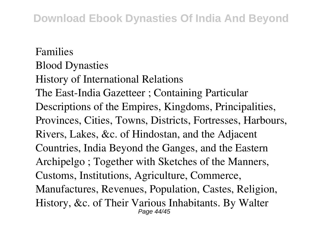Families Blood Dynasties History of International Relations The East-India Gazetteer ; Containing Particular Descriptions of the Empires, Kingdoms, Principalities, Provinces, Cities, Towns, Districts, Fortresses, Harbours, Rivers, Lakes, &c. of Hindostan, and the Adjacent Countries, India Beyond the Ganges, and the Eastern Archipelgo ; Together with Sketches of the Manners, Customs, Institutions, Agriculture, Commerce, Manufactures, Revenues, Population, Castes, Religion, History, &c. of Their Various Inhabitants. By Walter Page 44/45